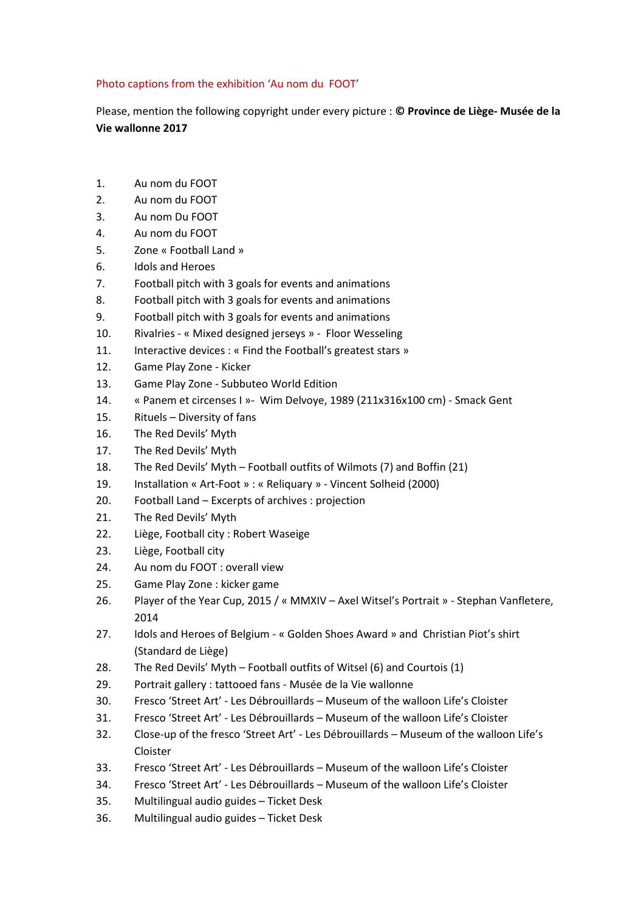## Photo captions from the exhibition 'Au nom du FOOT'

Please, mention the following copyright under every picture : © Province de Liège- Musée de la Vie wallonne 2017

- 1. Au nom du FOOT
- 2. Au nom du FOOT
- 3. Au nom Du FOOT
- 4. Au nom du FOOT
- 5. Zone « Football Land »
- 6. Idols and Heroes
- 7. Football pitch with 3 goals for events and animations
- 8. Football pitch with 3 goals for events and animations
- 9. Football pitch with 3 goals for events and animations
- 10. Rivalries « Mixed designed jerseys » Floor Wesseling
- 11. Interactive devices : « Find the Football's greatest stars »
- 12. Game Play Zone Kicker
- 13. Game Play Zone Subbuteo World Edition
- 14. « Panem et circenses I »- Wim Delvoye, 1989 (211x316x100 cm) Smack Gent
- 15. Rituels Diversity of fans
- 16. The Red Devils' Myth
- 17. The Red Devils' Myth
- 18. The Red Devils' Myth Football outfits of Wilmots (7) and Boffin (21)
- 19. Installation « Art-Foot » : « Reliquary » Vincent Solheid (2000)
- 20. Football Land Excerpts of archives : projection
- 21. The Red Devils' Myth
- 22. Liège, Football city : Robert Waseige
- 23. Liège, Football city
- 24. Au nom du FOOT : overall view
- 25. Game Play Zone : kicker game
- 26. Player of the Year Cup, 2015 / « MMXIV Axel Witsel's Portrait » Stephan Vanfletere, 2014
- 27. Idols and Heroes of Belgium « Golden Shoes Award » and Christian Piot's shirt (Standard de Liège)
- 28. The Red Devils' Myth Football outfits of Witsel (6) and Courtois (1)
- 29. Portrait gallery : tattooed fans Musée de la Vie wallonne
- 30. Fresco 'Street Art' Les Débrouillards Museum of the walloon Life's Cloister
- 31. Fresco 'Street Art' Les Débrouillards Museum of the walloon Life's Cloister
- 32. Close-up of the fresco 'Street Art' Les Débrouillards Museum of the walloon Life's Cloister
- 33. Fresco 'Street Art' Les Débrouillards Museum of the walloon Life's Cloister
- 34. Fresco 'Street Art' Les Débrouillards Museum of the walloon Life's Cloister
- 35. Multilingual audio guides Ticket Desk
- 36. Multilingual audio guides Ticket Desk